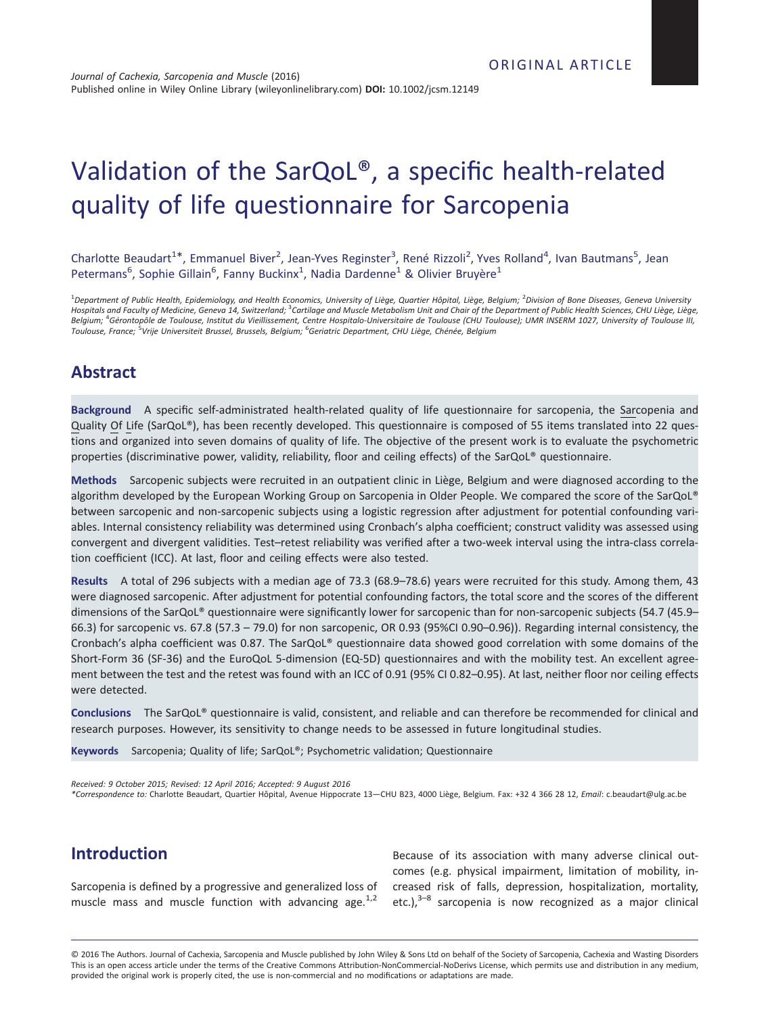# Validation of the SarQoL®, a specific health-related quality of life questionnaire for Sarcopenia

Charlotte Beaudart<sup>1\*</sup>, Emmanuel Biver<sup>2</sup>, Jean-Yves Reginster<sup>3</sup>, René Rizzoli<sup>2</sup>, Yves Rolland<sup>4</sup>, Ivan Bautmans<sup>5</sup>, Jean Petermans<sup>6</sup>, Sophie Gillain<sup>6</sup>, Fanny Buckinx<sup>1</sup>, Nadia Dardenne<sup>1</sup> & Olivier Bruyère<sup>1</sup>

<sup>1</sup>Department of Public Health, Epidemiology, and Health Economics, University of Liège, Quartier Hôpital, Liège, Belgium; <sup>2</sup>Division of Bone Diseases, Geneva University Hospitals and Faculty of Medicine, Geneva 14, Switzerland; <sup>3</sup>Cartilage and Muscle Metabolism Unit and Chair of the Department of Public Health Sciences, CHU Liège, Liège, Belgium; <sup>4</sup>Gérontopôle de Toulouse, Institut du Vieillissement, Centre Hospitalo-Universitaire de Toulouse (CHU Toulouse); UMR INSERM 1027, University of Toulouse III, Toulouse, France; <sup>5</sup>Vrije Universiteit Brussel, Brussels, Belgium; <sup>6</sup>Geriatric Department, CHU Liège, Chénée, Belgium

## Abstract

Background A specific self-administrated health-related quality of life questionnaire for sarcopenia, the Sarcopenia and Quality Of Life (SarQoL®), has been recently developed. This questionnaire is composed of 55 items translated into 22 questions and organized into seven domains of quality of life. The objective of the present work is to evaluate the psychometric properties (discriminative power, validity, reliability, floor and ceiling effects) of the SarQoL® questionnaire.

Methods Sarcopenic subjects were recruited in an outpatient clinic in Liège, Belgium and were diagnosed according to the algorithm developed by the European Working Group on Sarcopenia in Older People. We compared the score of the SarQoL® between sarcopenic and non-sarcopenic subjects using a logistic regression after adjustment for potential confounding variables. Internal consistency reliability was determined using Cronbach's alpha coefficient; construct validity was assessed using convergent and divergent validities. Test–retest reliability was verified after a two-week interval using the intra-class correlation coefficient (ICC). At last, floor and ceiling effects were also tested.

Results A total of 296 subjects with a median age of 73.3 (68.9–78.6) years were recruited for this study. Among them, 43 were diagnosed sarcopenic. After adjustment for potential confounding factors, the total score and the scores of the different dimensions of the SarQoL® questionnaire were significantly lower for sarcopenic than for non-sarcopenic subjects (54.7 (45.9– 66.3) for sarcopenic vs. 67.8 (57.3 – 79.0) for non sarcopenic, OR 0.93 (95%CI 0.90–0.96)). Regarding internal consistency, the Cronbach's alpha coefficient was 0.87. The SarQoL® questionnaire data showed good correlation with some domains of the Short-Form 36 (SF-36) and the EuroQoL 5-dimension (EQ-5D) questionnaires and with the mobility test. An excellent agreement between the test and the retest was found with an ICC of 0.91 (95% CI 0.82–0.95). At last, neither floor nor ceiling effects were detected.

Conclusions The SarQoL® questionnaire is valid, consistent, and reliable and can therefore be recommended for clinical and research purposes. However, its sensitivity to change needs to be assessed in future longitudinal studies.

Keywords Sarcopenia; Quality of life; SarQoL®; Psychometric validation; Questionnaire

Received: 9 October 2015; Revised: 12 April 2016; Accepted: 9 August 2016

\*Correspondence to: Charlotte Beaudart, Quartier Hôpital, Avenue Hippocrate 13—CHU B23, 4000 Liège, Belgium. Fax: +32 4 366 28 12, Email: c.beaudart@ulg.ac.be

# Introduction

Sarcopenia is defined by a progressive and generalized loss of muscle mass and muscle function with advancing age. $1,2$ 

Because of its association with many adverse clinical outcomes (e.g. physical impairment, limitation of mobility, increased risk of falls, depression, hospitalization, mortality, etc.), $3-8$  sarcopenia is now recognized as a major clinical

© 2016 The Authors. Journal of Cachexia, Sarcopenia and Muscle published by John Wiley & Sons Ltd on behalf of the Society of Sarcopenia, Cachexia and Wasting Disorders This is an open access article under the terms of the [Creative Commons Attribution-NonCommercial-NoDerivs](http://creativecommons.org/licenses/by-nc-nd/4.0/) License, which permits use and distribution in any medium, provided the original work is properly cited, the use is non-commercial and no modifications or adaptations are made.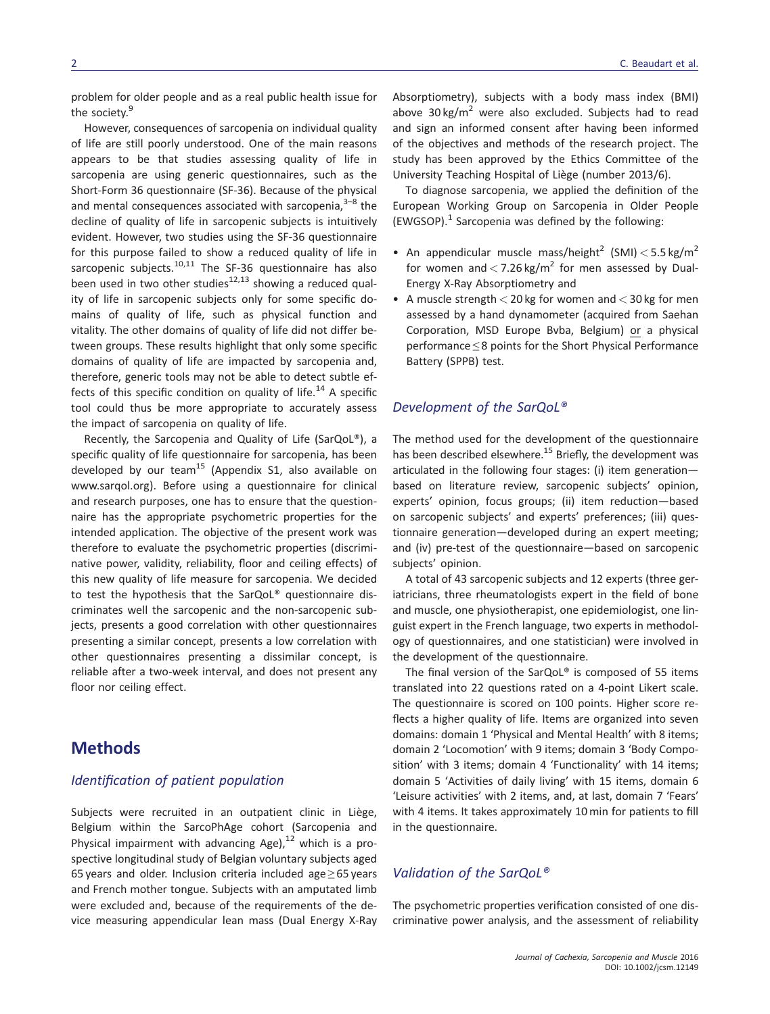problem for older people and as a real public health issue for the society.<sup>9</sup>

However, consequences of sarcopenia on individual quality of life are still poorly understood. One of the main reasons appears to be that studies assessing quality of life in sarcopenia are using generic questionnaires, such as the Short-Form 36 questionnaire (SF-36). Because of the physical and mental consequences associated with sarcopenia, $3-8$  the decline of quality of life in sarcopenic subjects is intuitively evident. However, two studies using the SF-36 questionnaire for this purpose failed to show a reduced quality of life in sarcopenic subjects. $10,11$  The SF-36 questionnaire has also been used in two other studies $12,13$  showing a reduced quality of life in sarcopenic subjects only for some specific domains of quality of life, such as physical function and vitality. The other domains of quality of life did not differ between groups. These results highlight that only some specific domains of quality of life are impacted by sarcopenia and, therefore, generic tools may not be able to detect subtle effects of this specific condition on quality of life.<sup>14</sup> A specific tool could thus be more appropriate to accurately assess the impact of sarcopenia on quality of life.

Recently, the Sarcopenia and Quality of Life (SarQoL®), a specific quality of life questionnaire for sarcopenia, has been developed by our team<sup>15</sup> (Appendix S1, also available on [www.sarqol.org](http://www.sarqol.org)). Before using a questionnaire for clinical and research purposes, one has to ensure that the questionnaire has the appropriate psychometric properties for the intended application. The objective of the present work was therefore to evaluate the psychometric properties (discriminative power, validity, reliability, floor and ceiling effects) of this new quality of life measure for sarcopenia. We decided to test the hypothesis that the SarQoL® questionnaire discriminates well the sarcopenic and the non-sarcopenic subjects, presents a good correlation with other questionnaires presenting a similar concept, presents a low correlation with other questionnaires presenting a dissimilar concept, is reliable after a two-week interval, and does not present any floor nor ceiling effect.

## **Methods**

#### Identification of patient population

Subjects were recruited in an outpatient clinic in Liège, Belgium within the SarcoPhAge cohort (Sarcopenia and Physical impairment with advancing Age), $^{12}$  which is a prospective longitudinal study of Belgian voluntary subjects aged 65 years and older. Inclusion criteria included age  $\geq$  65 years and French mother tongue. Subjects with an amputated limb were excluded and, because of the requirements of the device measuring appendicular lean mass (Dual Energy X-Ray Absorptiometry), subjects with a body mass index (BMI) above 30 kg/ $m^2$  were also excluded. Subjects had to read and sign an informed consent after having been informed of the objectives and methods of the research project. The study has been approved by the Ethics Committee of the University Teaching Hospital of Liège (number 2013/6).

To diagnose sarcopenia, we applied the definition of the European Working Group on Sarcopenia in Older People  $(EWGSOP).<sup>1</sup>$  Sarcopenia was defined by the following:

- An appendicular muscle mass/height<sup>2</sup> (SMI)  $<$  5.5 kg/m<sup>2</sup> for women and  $<$  7.26 kg/m<sup>2</sup> for men assessed by Dual-Energy X-Ray Absorptiometry and
- A muscle strength  $<$  20 kg for women and  $<$  30 kg for men assessed by a hand dynamometer (acquired from Saehan Corporation, MSD Europe Bvba, Belgium) or a physical performance ≤ 8 points for the Short Physical Performance Battery (SPPB) test.

#### Development of the SarQoL®

The method used for the development of the questionnaire has been described elsewhere.<sup>15</sup> Briefly, the development was articulated in the following four stages: (i) item generation based on literature review, sarcopenic subjects' opinion, experts' opinion, focus groups; (ii) item reduction—based on sarcopenic subjects' and experts' preferences; (iii) questionnaire generation—developed during an expert meeting; and (iv) pre-test of the questionnaire—based on sarcopenic subjects' opinion.

A total of 43 sarcopenic subjects and 12 experts (three geriatricians, three rheumatologists expert in the field of bone and muscle, one physiotherapist, one epidemiologist, one linguist expert in the French language, two experts in methodology of questionnaires, and one statistician) were involved in the development of the questionnaire.

The final version of the SarQoL® is composed of 55 items translated into 22 questions rated on a 4-point Likert scale. The questionnaire is scored on 100 points. Higher score reflects a higher quality of life. Items are organized into seven domains: domain 1 'Physical and Mental Health' with 8 items; domain 2 'Locomotion' with 9 items; domain 3 'Body Composition' with 3 items; domain 4 'Functionality' with 14 items; domain 5 'Activities of daily living' with 15 items, domain 6 'Leisure activities' with 2 items, and, at last, domain 7 'Fears' with 4 items. It takes approximately 10 min for patients to fill in the questionnaire.

## Validation of the SarQoL®

The psychometric properties verification consisted of one discriminative power analysis, and the assessment of reliability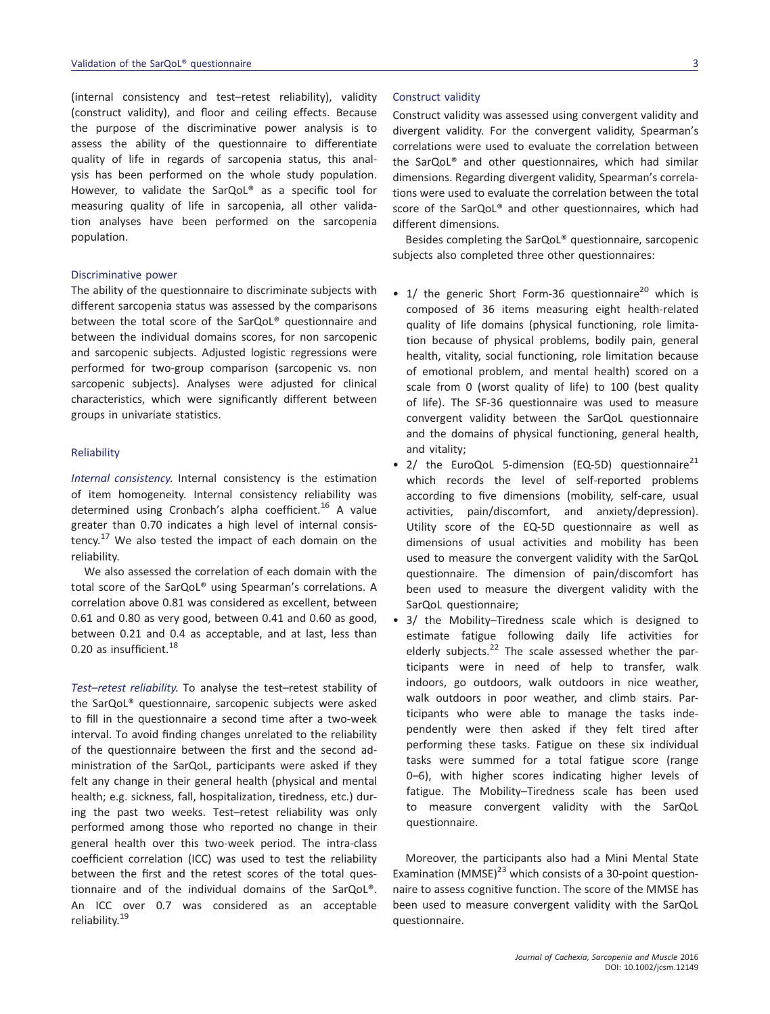(internal consistency and test–retest reliability), validity (construct validity), and floor and ceiling effects. Because the purpose of the discriminative power analysis is to assess the ability of the questionnaire to differentiate quality of life in regards of sarcopenia status, this analysis has been performed on the whole study population. However, to validate the SarQoL® as a specific tool for measuring quality of life in sarcopenia, all other validation analyses have been performed on the sarcopenia population.

#### Discriminative power

The ability of the questionnaire to discriminate subjects with different sarcopenia status was assessed by the comparisons between the total score of the SarQoL® questionnaire and between the individual domains scores, for non sarcopenic and sarcopenic subjects. Adjusted logistic regressions were performed for two-group comparison (sarcopenic vs. non sarcopenic subjects). Analyses were adjusted for clinical characteristics, which were significantly different between groups in univariate statistics.

#### Reliability

Internal consistency. Internal consistency is the estimation of item homogeneity. Internal consistency reliability was determined using Cronbach's alpha coefficient.<sup>16</sup> A value greater than 0.70 indicates a high level of internal consistency.<sup>17</sup> We also tested the impact of each domain on the reliability.

We also assessed the correlation of each domain with the total score of the SarQoL® using Spearman's correlations. A correlation above 0.81 was considered as excellent, between 0.61 and 0.80 as very good, between 0.41 and 0.60 as good, between 0.21 and 0.4 as acceptable, and at last, less than 0.20 as insufficient.<sup>18</sup>

Test–retest reliability. To analyse the test–retest stability of the SarQoL® questionnaire, sarcopenic subjects were asked to fill in the questionnaire a second time after a two-week interval. To avoid finding changes unrelated to the reliability of the questionnaire between the first and the second administration of the SarQoL, participants were asked if they felt any change in their general health (physical and mental health; e.g. sickness, fall, hospitalization, tiredness, etc.) during the past two weeks. Test–retest reliability was only performed among those who reported no change in their general health over this two-week period. The intra-class coefficient correlation (ICC) was used to test the reliability between the first and the retest scores of the total questionnaire and of the individual domains of the SarQoL®. An ICC over 0.7 was considered as an acceptable reliability.<sup>19</sup>

#### Construct validity

Construct validity was assessed using convergent validity and divergent validity. For the convergent validity, Spearman's correlations were used to evaluate the correlation between the SarQoL® and other questionnaires, which had similar dimensions. Regarding divergent validity, Spearman's correlations were used to evaluate the correlation between the total score of the SarQoL® and other questionnaires, which had different dimensions.

Besides completing the SarQoL® questionnaire, sarcopenic subjects also completed three other questionnaires:

- 1/ the generic Short Form-36 questionnaire<sup>20</sup> which is composed of 36 items measuring eight health-related quality of life domains (physical functioning, role limitation because of physical problems, bodily pain, general health, vitality, social functioning, role limitation because of emotional problem, and mental health) scored on a scale from 0 (worst quality of life) to 100 (best quality of life). The SF-36 questionnaire was used to measure convergent validity between the SarQoL questionnaire and the domains of physical functioning, general health, and vitality;
- 2/ the EuroQoL 5-dimension (EQ-5D) questionnaire $^{21}$ which records the level of self-reported problems according to five dimensions (mobility, self-care, usual activities, pain/discomfort, and anxiety/depression). Utility score of the EQ-5D questionnaire as well as dimensions of usual activities and mobility has been used to measure the convergent validity with the SarQoL questionnaire. The dimension of pain/discomfort has been used to measure the divergent validity with the SarQoL questionnaire;
- 3/ the Mobility–Tiredness scale which is designed to estimate fatigue following daily life activities for elderly subjects.<sup>22</sup> The scale assessed whether the participants were in need of help to transfer, walk indoors, go outdoors, walk outdoors in nice weather, walk outdoors in poor weather, and climb stairs. Participants who were able to manage the tasks independently were then asked if they felt tired after performing these tasks. Fatigue on these six individual tasks were summed for a total fatigue score (range 0–6), with higher scores indicating higher levels of fatigue. The Mobility–Tiredness scale has been used to measure convergent validity with the SarQoL questionnaire.

Moreover, the participants also had a Mini Mental State Examination (MMSE) $^{23}$  which consists of a 30-point questionnaire to assess cognitive function. The score of the MMSE has been used to measure convergent validity with the SarQoL questionnaire.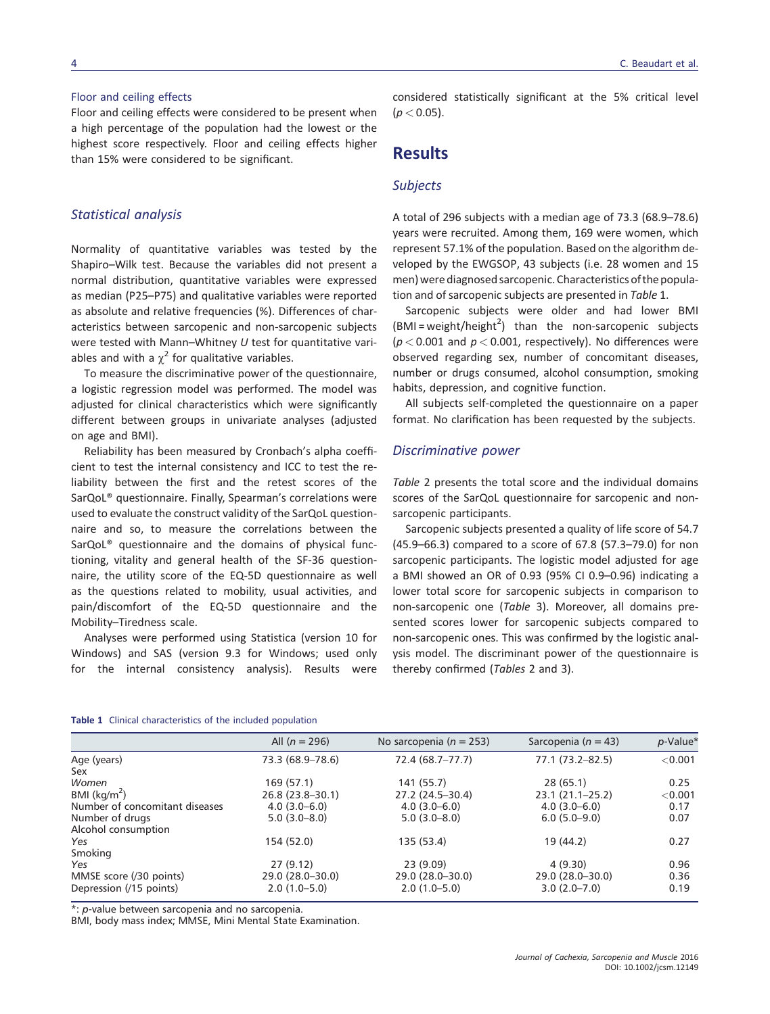Floor and ceiling effects were considered to be present when a high percentage of the population had the lowest or the highest score respectively. Floor and ceiling effects higher than 15% were considered to be significant.

#### Statistical analysis

Normality of quantitative variables was tested by the Shapiro–Wilk test. Because the variables did not present a normal distribution, quantitative variables were expressed as median (P25–P75) and qualitative variables were reported as absolute and relative frequencies (%). Differences of characteristics between sarcopenic and non-sarcopenic subjects were tested with Mann–Whitney U test for quantitative variables and with a  $\chi^2$  for qualitative variables.

To measure the discriminative power of the questionnaire, a logistic regression model was performed. The model was adjusted for clinical characteristics which were significantly different between groups in univariate analyses (adjusted on age and BMI).

Reliability has been measured by Cronbach's alpha coefficient to test the internal consistency and ICC to test the reliability between the first and the retest scores of the SarQoL® questionnaire. Finally, Spearman's correlations were used to evaluate the construct validity of the SarQoL questionnaire and so, to measure the correlations between the SarQoL® questionnaire and the domains of physical functioning, vitality and general health of the SF-36 questionnaire, the utility score of the EQ-5D questionnaire as well as the questions related to mobility, usual activities, and pain/discomfort of the EQ-5D questionnaire and the Mobility–Tiredness scale.

Analyses were performed using Statistica (version 10 for Windows) and SAS (version 9.3 for Windows; used only for the internal consistency analysis). Results were considered statistically significant at the 5% critical level  $(p < 0.05)$ .

# Results

#### **Subjects**

A total of 296 subjects with a median age of 73.3 (68.9–78.6) years were recruited. Among them, 169 were women, which represent 57.1% of the population. Based on the algorithm developed by the EWGSOP, 43 subjects (i.e. 28 women and 15 men) were diagnosed sarcopenic. Characteristics of the population and of sarcopenic subjects are presented in Table 1.

Sarcopenic subjects were older and had lower BMI  $(BMI = weight/height<sup>2</sup>)$  than the non-sarcopenic subjects  $(p < 0.001$  and  $p < 0.001$ , respectively). No differences were observed regarding sex, number of concomitant diseases, number or drugs consumed, alcohol consumption, smoking habits, depression, and cognitive function.

All subjects self-completed the questionnaire on a paper format. No clarification has been requested by the subjects.

#### Discriminative power

Table 2 presents the total score and the individual domains scores of the SarQoL questionnaire for sarcopenic and nonsarcopenic participants.

Sarcopenic subjects presented a quality of life score of 54.7 (45.9–66.3) compared to a score of 67.8 (57.3–79.0) for non sarcopenic participants. The logistic model adjusted for age a BMI showed an OR of 0.93 (95% CI 0.9–0.96) indicating a lower total score for sarcopenic subjects in comparison to non-sarcopenic one (Table 3). Moreover, all domains presented scores lower for sarcopenic subjects compared to non-sarcopenic ones. This was confirmed by the logistic analysis model. The discriminant power of the questionnaire is thereby confirmed (Tables 2 and 3).

#### Table 1 Clinical characteristics of the included population

|                                | All $(n = 296)$     | No sarcopenia ( $n = 253$ ) | Sarcopenia ( $n = 43$ ) | p-Value* |
|--------------------------------|---------------------|-----------------------------|-------------------------|----------|
| Age (years)                    | 73.3 (68.9-78.6)    | 72.4 (68.7-77.7)            | 77.1 (73.2–82.5)        | < 0.001  |
| Sex                            |                     |                             |                         |          |
| Women                          | 169 (57.1)          | 141(55.7)                   | 28(65.1)                | 0.25     |
| BMI $(kq/m^2)$                 | $26.8(23.8-30.1)$   | 27.2 (24.5–30.4)            | $23.1(21.1 - 25.2)$     | < 0.001  |
| Number of concomitant diseases | $4.0(3.0-6.0)$      | $4.0(3.0 - 6.0)$            | $4.0(3.0-6.0)$          | 0.17     |
| Number of drugs                | $5.0(3.0 - 8.0)$    | $5.0(3.0 - 8.0)$            | $6.0(5.0-9.0)$          | 0.07     |
| Alcohol consumption            |                     |                             |                         |          |
| Yes                            | 154 (52.0)          | 135 (53.4)                  | 19 (44.2)               | 0.27     |
| Smoking                        |                     |                             |                         |          |
| Yes                            | 27(9.12)            | 23(9.09)                    | 4(9.30)                 | 0.96     |
| MMSE score (/30 points)        | $29.0(28.0 - 30.0)$ | $29.0(28.0 - 30.0)$         | $29.0(28.0 - 30.0)$     | 0.36     |
| Depression (/15 points)        | $2.0(1.0-5.0)$      | $2.0(1.0-5.0)$              | $3.0(2.0 - 7.0)$        | 0.19     |
|                                |                     |                             |                         |          |

\*: p-value between sarcopenia and no sarcopenia.

BMI, body mass index; MMSE, Mini Mental State Examination.

C. Beaudart et al.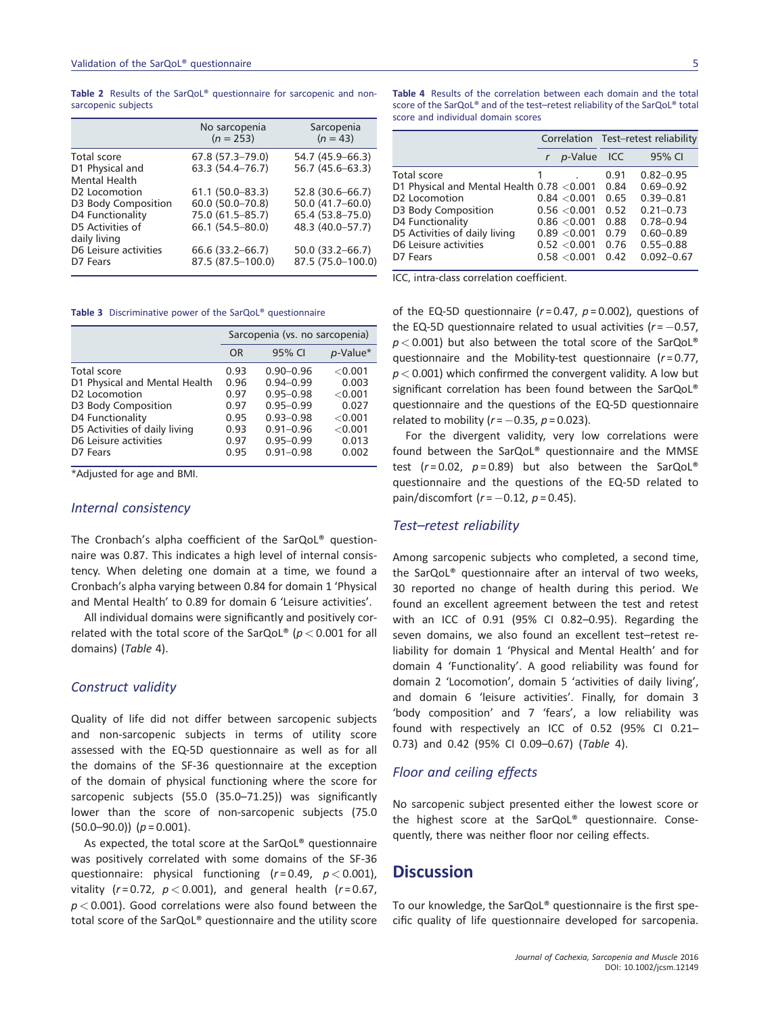Table 2 Results of the SarQoL® questionnaire for sarcopenic and nonsarcopenic subjects

|                                                   | No sarcopenia<br>$(n = 253)$ | Sarcopenia<br>$(n = 43)$ |
|---------------------------------------------------|------------------------------|--------------------------|
| Total score                                       | 67.8 (57.3-79.0)             | 54.7 (45.9–66.3)         |
| D1 Physical and                                   | $63.3(54.4 - 76.7)$          | 56.7 (45.6-63.3)         |
| <b>Mental Health</b><br>D <sub>2</sub> Locomotion | $61.1(50.0 - 83.3)$          | 52.8 (30.6-66.7)         |
| D3 Body Composition                               | 60.0 (50.0-70.8)             | $50.0(41.7 - 60.0)$      |
| D4 Functionality                                  | 75.0 (61.5-85.7)             | 65.4 (53.8-75.0)         |
| D5 Activities of<br>daily living                  | 66.1 (54.5-80.0)             | 48.3 (40.0-57.7)         |
| D6 Leisure activities                             | 66.6 (33.2–66.7)             | 50.0 (33.2-66.7)         |
| D7 Fears                                          | 87.5 (87.5-100.0)            | 87.5 (75.0-100.0)        |

Table 3 Discriminative power of the SarQoL® questionnaire

|                               | Sarcopenia (vs. no sarcopenia) |               |             |  |
|-------------------------------|--------------------------------|---------------|-------------|--|
|                               | <b>OR</b>                      | 95% CI        | $p$ -Value* |  |
| Total score                   | 0.93                           | $0.90 - 0.96$ | < 0.001     |  |
| D1 Physical and Mental Health | 0.96                           | $0.94 - 0.99$ | 0.003       |  |
| D <sub>2</sub> Locomotion     | 0.97                           | $0.95 - 0.98$ | < 0.001     |  |
| D3 Body Composition           | 0.97                           | $0.95 - 0.99$ | 0.027       |  |
| D4 Functionality              | 0.95                           | $0.93 - 0.98$ | < 0.001     |  |
| D5 Activities of daily living | 0.93                           | $0.91 - 0.96$ | < 0.001     |  |
| D6 Leisure activities         | 0.97                           | $0.95 - 0.99$ | 0.013       |  |
| D7 Fears                      | 0.95                           | $0.91 - 0.98$ | 0.002       |  |

\*Adjusted for age and BMI.

#### Internal consistency

The Cronbach's alpha coefficient of the SarQoL® questionnaire was 0.87. This indicates a high level of internal consistency. When deleting one domain at a time, we found a Cronbach's alpha varying between 0.84 for domain 1 'Physical and Mental Health' to 0.89 for domain 6 'Leisure activities'.

All individual domains were significantly and positively correlated with the total score of the SarQoL® ( $p < 0.001$  for all domains) (Table 4).

#### Construct validity

Quality of life did not differ between sarcopenic subjects and non-sarcopenic subjects in terms of utility score assessed with the EQ-5D questionnaire as well as for all the domains of the SF-36 questionnaire at the exception of the domain of physical functioning where the score for sarcopenic subjects (55.0 (35.0–71.25)) was significantly lower than the score of non-sarcopenic subjects (75.0  $(50.0-90.0)$   $(p = 0.001)$ .

As expected, the total score at the SarQoL® questionnaire was positively correlated with some domains of the SF-36 questionnaire: physical functioning  $(r=0.49, p<0.001)$ , vitality ( $r = 0.72$ ,  $p < 0.001$ ), and general health ( $r = 0.67$ ,  $p < 0.001$ ). Good correlations were also found between the total score of the SarQoL® questionnaire and the utility score

Table 4 Results of the correlation between each domain and the total score of the SarQoL® and of the test–retest reliability of the SarQoL® total score and individual domain scores

|                                            |  |              | Correlation Test-retest reliability |                |
|--------------------------------------------|--|--------------|-------------------------------------|----------------|
|                                            |  | p-Value ICC  |                                     | 95% CI         |
| Total score                                |  |              | 0.91                                | $0.82 - 0.95$  |
| D1 Physical and Mental Health 0.78 < 0.001 |  |              | 0.84                                | $0.69 - 0.92$  |
| D <sub>2</sub> Locomotion                  |  | 0.84 < 0.001 | 0.65                                | $0.39 - 0.81$  |
| D3 Body Composition                        |  | 0.56 < 0.001 | 0.52                                | $0.21 - 0.73$  |
| D4 Functionality                           |  | 0.86 < 0.001 | 0.88                                | $0.78 - 0.94$  |
| D5 Activities of daily living              |  | 0.89 < 0.001 | 0.79                                | $0.60 - 0.89$  |
| D6 Leisure activities                      |  | 0.52 < 0.001 | 0.76                                | $0.55 - 0.88$  |
| D7 Fears                                   |  | 0.58 < 0.001 | 0.42                                | $0.092 - 0.67$ |
|                                            |  |              |                                     |                |

ICC, intra-class correlation coefficient.

of the EQ-5D questionnaire ( $r = 0.47$ ,  $p = 0.002$ ), questions of the EQ-5D questionnaire related to usual activities  $(r = -0.57)$ ,  $p < 0.001$ ) but also between the total score of the SarQoL® questionnaire and the Mobility-test questionnaire  $(r=0.77)$ ,  $p < 0.001$ ) which confirmed the convergent validity. A low but significant correlation has been found between the SarQoL® questionnaire and the questions of the EQ-5D questionnaire related to mobility ( $r = -0.35$ ,  $p = 0.023$ ).

For the divergent validity, very low correlations were found between the SarQoL® questionnaire and the MMSE test ( $r = 0.02$ ,  $p = 0.89$ ) but also between the SarQoL® questionnaire and the questions of the EQ-5D related to pain/discomfort ( $r = -0.12$ ,  $p = 0.45$ ).

#### Test–retest reliability

Among sarcopenic subjects who completed, a second time, the SarQoL® questionnaire after an interval of two weeks, 30 reported no change of health during this period. We found an excellent agreement between the test and retest with an ICC of 0.91 (95% CI 0.82–0.95). Regarding the seven domains, we also found an excellent test–retest reliability for domain 1 'Physical and Mental Health' and for domain 4 'Functionality'. A good reliability was found for domain 2 'Locomotion', domain 5 'activities of daily living', and domain 6 'leisure activities'. Finally, for domain 3 'body composition' and 7 'fears', a low reliability was found with respectively an ICC of 0.52 (95% CI 0.21– 0.73) and 0.42 (95% CI 0.09–0.67) (Table 4).

### Floor and ceiling effects

No sarcopenic subject presented either the lowest score or the highest score at the SarQoL® questionnaire. Consequently, there was neither floor nor ceiling effects.

## **Discussion**

To our knowledge, the SarQoL® questionnaire is the first specific quality of life questionnaire developed for sarcopenia.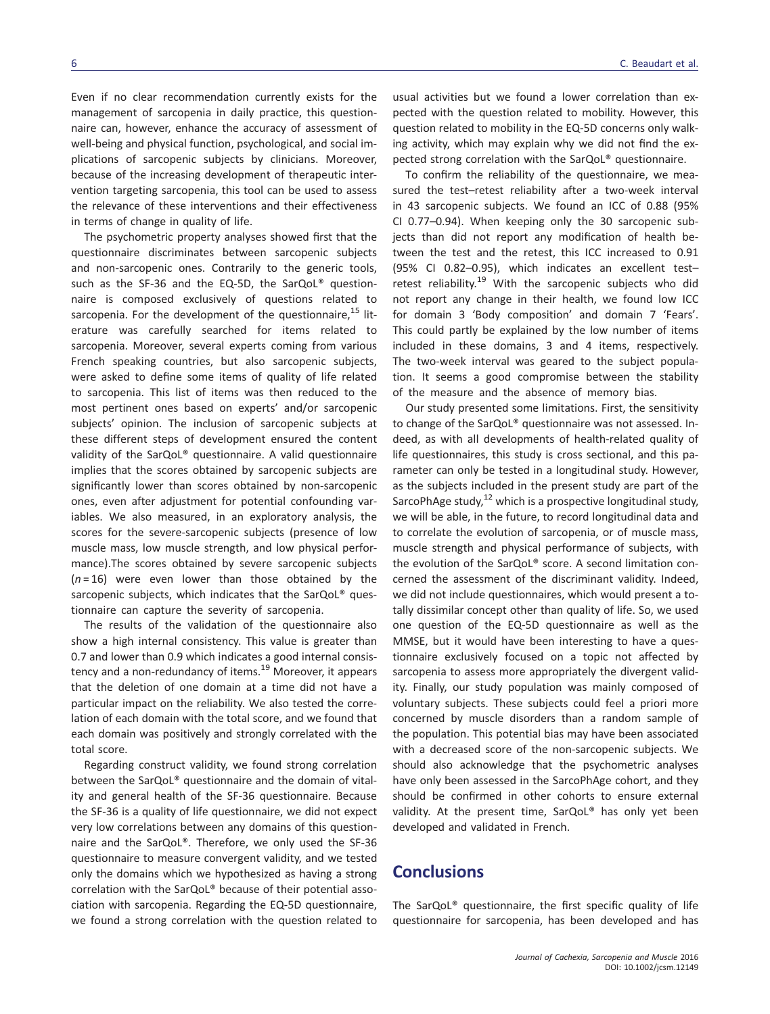Even if no clear recommendation currently exists for the management of sarcopenia in daily practice, this questionnaire can, however, enhance the accuracy of assessment of well-being and physical function, psychological, and social implications of sarcopenic subjects by clinicians. Moreover, because of the increasing development of therapeutic intervention targeting sarcopenia, this tool can be used to assess the relevance of these interventions and their effectiveness in terms of change in quality of life.

The psychometric property analyses showed first that the questionnaire discriminates between sarcopenic subjects and non-sarcopenic ones. Contrarily to the generic tools, such as the SF-36 and the EQ-5D, the SarQoL® questionnaire is composed exclusively of questions related to sarcopenia. For the development of the questionnaire,  $15$  literature was carefully searched for items related to sarcopenia. Moreover, several experts coming from various French speaking countries, but also sarcopenic subjects, were asked to define some items of quality of life related to sarcopenia. This list of items was then reduced to the most pertinent ones based on experts' and/or sarcopenic subjects' opinion. The inclusion of sarcopenic subjects at these different steps of development ensured the content validity of the SarQoL® questionnaire. A valid questionnaire implies that the scores obtained by sarcopenic subjects are significantly lower than scores obtained by non-sarcopenic ones, even after adjustment for potential confounding variables. We also measured, in an exploratory analysis, the scores for the severe-sarcopenic subjects (presence of low muscle mass, low muscle strength, and low physical performance).The scores obtained by severe sarcopenic subjects  $(n=16)$  were even lower than those obtained by the sarcopenic subjects, which indicates that the SarQoL® questionnaire can capture the severity of sarcopenia.

The results of the validation of the questionnaire also show a high internal consistency. This value is greater than 0.7 and lower than 0.9 which indicates a good internal consistency and a non-redundancy of items.<sup>19</sup> Moreover, it appears that the deletion of one domain at a time did not have a particular impact on the reliability. We also tested the correlation of each domain with the total score, and we found that each domain was positively and strongly correlated with the total score.

Regarding construct validity, we found strong correlation between the SarQoL® questionnaire and the domain of vitality and general health of the SF-36 questionnaire. Because the SF-36 is a quality of life questionnaire, we did not expect very low correlations between any domains of this questionnaire and the SarQoL®. Therefore, we only used the SF-36 questionnaire to measure convergent validity, and we tested only the domains which we hypothesized as having a strong correlation with the SarQoL® because of their potential association with sarcopenia. Regarding the EQ-5D questionnaire, we found a strong correlation with the question related to usual activities but we found a lower correlation than expected with the question related to mobility. However, this question related to mobility in the EQ-5D concerns only walking activity, which may explain why we did not find the expected strong correlation with the SarQoL® questionnaire.

To confirm the reliability of the questionnaire, we measured the test–retest reliability after a two-week interval in 43 sarcopenic subjects. We found an ICC of 0.88 (95% CI 0.77–0.94). When keeping only the 30 sarcopenic subjects than did not report any modification of health between the test and the retest, this ICC increased to 0.91 (95% CI 0.82–0.95), which indicates an excellent test– retest reliability.<sup>19</sup> With the sarcopenic subjects who did not report any change in their health, we found low ICC for domain 3 'Body composition' and domain 7 'Fears'. This could partly be explained by the low number of items included in these domains, 3 and 4 items, respectively. The two-week interval was geared to the subject population. It seems a good compromise between the stability of the measure and the absence of memory bias.

Our study presented some limitations. First, the sensitivity to change of the SarQoL® questionnaire was not assessed. Indeed, as with all developments of health-related quality of life questionnaires, this study is cross sectional, and this parameter can only be tested in a longitudinal study. However, as the subjects included in the present study are part of the SarcoPhAge study, $^{12}$  which is a prospective longitudinal study, we will be able, in the future, to record longitudinal data and to correlate the evolution of sarcopenia, or of muscle mass, muscle strength and physical performance of subjects, with the evolution of the SarQoL® score. A second limitation concerned the assessment of the discriminant validity. Indeed, we did not include questionnaires, which would present a totally dissimilar concept other than quality of life. So, we used one question of the EQ-5D questionnaire as well as the MMSE, but it would have been interesting to have a questionnaire exclusively focused on a topic not affected by sarcopenia to assess more appropriately the divergent validity. Finally, our study population was mainly composed of voluntary subjects. These subjects could feel a priori more concerned by muscle disorders than a random sample of the population. This potential bias may have been associated with a decreased score of the non-sarcopenic subjects. We should also acknowledge that the psychometric analyses have only been assessed in the SarcoPhAge cohort, and they should be confirmed in other cohorts to ensure external validity. At the present time, SarQoL® has only yet been developed and validated in French.

# **Conclusions**

The SarQoL® questionnaire, the first specific quality of life questionnaire for sarcopenia, has been developed and has